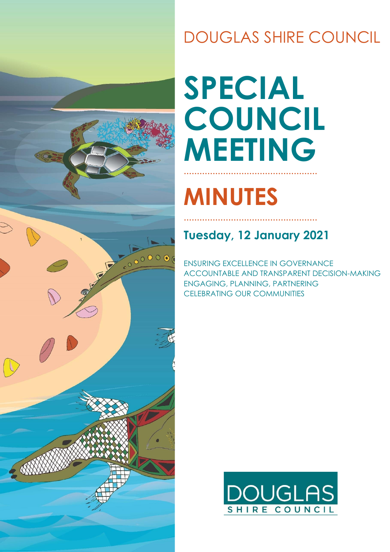

## DOUGLAS SHIRE COUNCIL

# **SPECIAL COUNCIL MEETING ……………………………………………**

# **MINUTES**

## **Tuesday, 12 January 2021**

**……………………………………………**

ENSURING EXCELLENCE IN GOVERNANCE ACCOUNTABLE AND TRANSPARENT DECISION-MAKING ENGAGING, PLANNING, PARTNERING CELEBRATING OUR COMMUNITIES

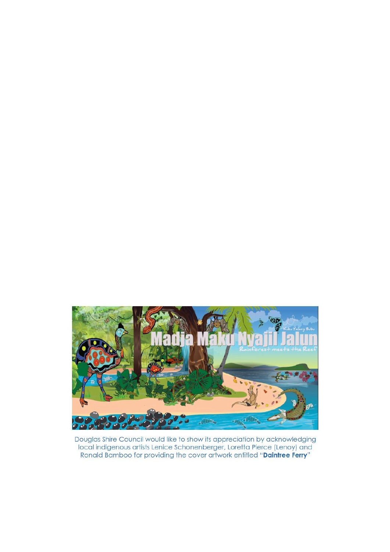

Douglas Shire Council would like to show its appreciation by acknowledging local indigenous artists Lenice Schonenberger, Loretta Pierce (Lenoy) and Ronald Bamboo for providing the cover artwork entitled "Daintree Ferry"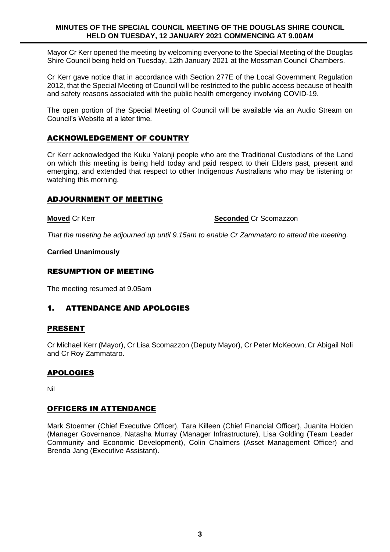#### **MINUTES OF THE SPECIAL COUNCIL MEETING OF THE DOUGLAS SHIRE COUNCIL HELD ON TUESDAY, 12 JANUARY 2021 COMMENCING AT 9.00AM**

Mayor Cr Kerr opened the meeting by welcoming everyone to the Special Meeting of the Douglas Shire Council being held on Tuesday, 12th January 2021 at the Mossman Council Chambers.

Cr Kerr gave notice that in accordance with Section 277E of the Local Government Regulation 2012, that the Special Meeting of Council will be restricted to the public access because of health and safety reasons associated with the public health emergency involving COVID-19.

The open portion of the Special Meeting of Council will be available via an Audio Stream on Council's Website at a later time.

### ACKNOWLEDGEMENT OF COUNTRY

Cr Kerr acknowledged the Kuku Yalanji people who are the Traditional Custodians of the Land on which this meeting is being held today and paid respect to their Elders past, present and emerging, and extended that respect to other Indigenous Australians who may be listening or watching this morning.

#### ADJOURNMENT OF MEETING

**Moved** Cr Kerr **Seconded** Cr Scomazzon

*That the meeting be adjourned up until 9.15am to enable Cr Zammataro to attend the meeting.*

**Carried Unanimously** 

#### RESUMPTION OF MEETING

The meeting resumed at 9.05am

### 1. ATTENDANCE AND APOLOGIES

#### PRESENT

Cr Michael Kerr (Mayor), Cr Lisa Scomazzon (Deputy Mayor), Cr Peter McKeown, Cr Abigail Noli and Cr Roy Zammataro.

#### APOLOGIES

Nil

#### OFFICERS IN ATTENDANCE

Mark Stoermer (Chief Executive Officer), Tara Killeen (Chief Financial Officer), Juanita Holden (Manager Governance, Natasha Murray (Manager Infrastructure), Lisa Golding (Team Leader Community and Economic Development), Colin Chalmers (Asset Management Officer) and Brenda Jang (Executive Assistant).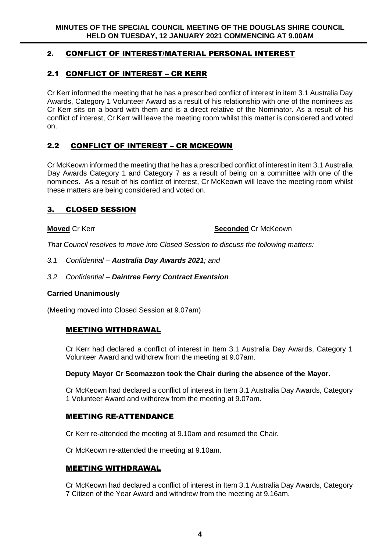### 2. CONFLICT OF INTEREST/MATERIAL PERSONAL INTEREST

## 2.1 CONFLICT OF INTEREST – CR KERR

Cr Kerr informed the meeting that he has a prescribed conflict of interest in item 3.1 Australia Day Awards, Category 1 Volunteer Award as a result of his relationship with one of the nominees as Cr Kerr sits on a board with them and is a direct relative of the Nominator. As a result of his conflict of interest, Cr Kerr will leave the meeting room whilst this matter is considered and voted on.

### 2.2 CONFLICT OF INTEREST – CR MCKEOWN

Cr McKeown informed the meeting that he has a prescribed conflict of interest in item 3.1 Australia Day Awards Category 1 and Category 7 as a result of being on a committee with one of the nominees. As a result of his conflict of interest, Cr McKeown will leave the meeting room whilst these matters are being considered and voted on.

#### 3. CLOSED SESSION

#### **Moved** Cr Kerr **Seconded** Cr McKeown

*That Council resolves to move into Closed Session to discuss the following matters:* 

#### *3.1 Confidential – Australia Day Awards 2021; and*

#### *3.2 Confidential – Daintree Ferry Contract Exentsion*

#### **Carried Unanimously**

(Meeting moved into Closed Session at 9.07am)

#### MEETING WITHDRAWAL

Cr Kerr had declared a conflict of interest in Item 3.1 Australia Day Awards, Category 1 Volunteer Award and withdrew from the meeting at 9.07am.

#### **Deputy Mayor Cr Scomazzon took the Chair during the absence of the Mayor.**

Cr McKeown had declared a conflict of interest in Item 3.1 Australia Day Awards, Category 1 Volunteer Award and withdrew from the meeting at 9.07am.

#### MEETING RE-ATTENDANCE

Cr Kerr re-attended the meeting at 9.10am and resumed the Chair.

Cr McKeown re-attended the meeting at 9.10am.

#### MEETING WITHDRAWAL

Cr McKeown had declared a conflict of interest in Item 3.1 Australia Day Awards, Category 7 Citizen of the Year Award and withdrew from the meeting at 9.16am.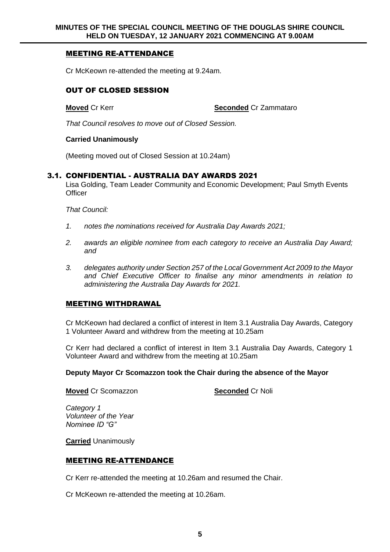### MEETING RE-ATTENDANCE

Cr McKeown re-attended the meeting at 9.24am.

#### OUT OF CLOSED SESSION

**Moved** Cr Kerr **Seconded** Cr Zammataro

*That Council resolves to move out of Closed Session.* 

#### **Carried Unanimously**

(Meeting moved out of Closed Session at 10.24am)

#### 3.1. CONFIDENTIAL - AUSTRALIA DAY AWARDS 2021

Lisa Golding, Team Leader Community and Economic Development; Paul Smyth Events **Officer** 

*That Council:*

- *1. notes the nominations received for Australia Day Awards 2021;*
- *2. awards an eligible nominee from each category to receive an Australia Day Award; and*
- *3. delegates authority under Section 257 of the Local Government Act 2009 to the Mayor and Chief Executive Officer to finalise any minor amendments in relation to administering the Australia Day Awards for 2021.*

#### MEETING WITHDRAWAL

Cr McKeown had declared a conflict of interest in Item 3.1 Australia Day Awards, Category 1 Volunteer Award and withdrew from the meeting at 10.25am

Cr Kerr had declared a conflict of interest in Item 3.1 Australia Day Awards, Category 1 Volunteer Award and withdrew from the meeting at 10.25am

#### **Deputy Mayor Cr Scomazzon took the Chair during the absence of the Mayor**

**Moved** Cr Scomazzon **Seconded** Cr Noli

*Category 1 Volunteer of the Year Nominee ID "G"*

**Carried** Unanimously

#### MEETING RE-ATTENDANCE

Cr Kerr re-attended the meeting at 10.26am and resumed the Chair.

Cr McKeown re-attended the meeting at 10.26am.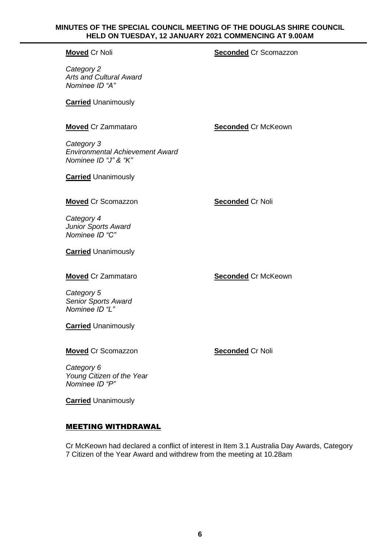#### **MINUTES OF THE SPECIAL COUNCIL MEETING OF THE DOUGLAS SHIRE COUNCIL HELD ON TUESDAY, 12 JANUARY 2021 COMMENCING AT 9.00AM**

#### **Moved** Cr Noli **Moved** Cr Scomazzon

*Category 2 Arts and Cultural Award Nominee ID "A"*

**Carried** Unanimously

**Moved** Cr Zammataro **Seconded** Cr McKeown

*Category 3 Environmental Achievement Award Nominee ID "J" & "K"*

**Carried** Unanimously

#### **Moved** Cr Scomazzon **Seconded** Cr Noli

*Category 4 Junior Sports Award Nominee ID "C"*

**Carried** Unanimously

**Moved** Cr Zammataro **Seconded** Cr McKeown

*Category 5 Senior Sports Award Nominee ID "L"*

**Carried** Unanimously

**Moved** Cr Scomazzon **Seconded** Cr Noli

*Category 6 Young Citizen of the Year Nominee ID "P"*

**Carried** Unanimously

### MEETING WITHDRAWAL

Cr McKeown had declared a conflict of interest in Item 3.1 Australia Day Awards, Category 7 Citizen of the Year Award and withdrew from the meeting at 10.28am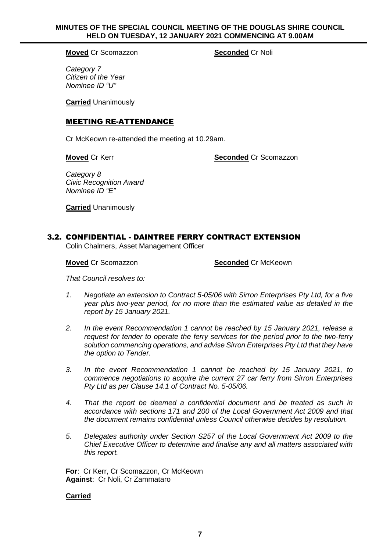#### **MINUTES OF THE SPECIAL COUNCIL MEETING OF THE DOUGLAS SHIRE COUNCIL HELD ON TUESDAY, 12 JANUARY 2021 COMMENCING AT 9.00AM**

**Moved** Cr Scomazzon **Seconded** Cr Noli

*Category 7 Citizen of the Year Nominee ID "U"*

**Carried** Unanimously

#### MEETING RE-ATTENDANCE

Cr McKeown re-attended the meeting at 10.29am.

**Moved** Cr Kerr **Seconded** Cr Scomazzon

*Category 8 Civic Recognition Award Nominee ID "E"*

**Carried** Unanimously

#### 3.2. CONFIDENTIAL - DAINTREE FERRY CONTRACT EXTENSION

Colin Chalmers, Asset Management Officer

**Moved** Cr Scomazzon **Seconded** Cr McKeown

*That Council resolves to:*

- *1. Negotiate an extension to Contract 5-05/06 with Sirron Enterprises Pty Ltd, for a five year plus two-year period, for no more than the estimated value as detailed in the report by 15 January 2021.*
- *2. In the event Recommendation 1 cannot be reached by 15 January 2021, release a request for tender to operate the ferry services for the period prior to the two-ferry solution commencing operations, and advise Sirron Enterprises Pty Ltd that they have the option to Tender.*
- *3. In the event Recommendation 1 cannot be reached by 15 January 2021, to commence negotiations to acquire the current 27 car ferry from Sirron Enterprises Pty Ltd as per Clause 14.1 of Contract No. 5-05/06.*
- *4. That the report be deemed a confidential document and be treated as such in accordance with sections 171 and 200 of the Local Government Act 2009 and that the document remains confidential unless Council otherwise decides by resolution.*
- *5. Delegates authority under Section S257 of the Local Government Act 2009 to the Chief Executive Officer to determine and finalise any and all matters associated with this report.*

**For**: Cr Kerr, Cr Scomazzon, Cr McKeown **Against**: Cr Noli, Cr Zammataro

#### **Carried**